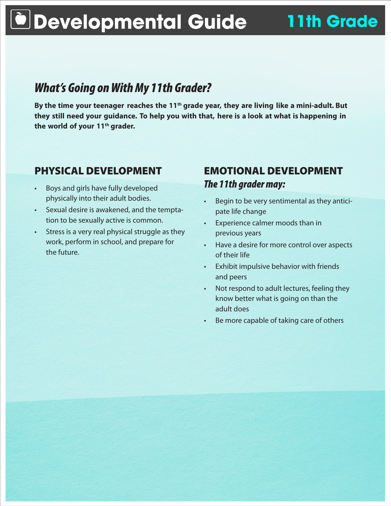# **Developmental Guide 11th Grade**

# *What's Going on With My 11th Grader?*

By the time your teenager reaches the 11<sup>th</sup> grade year, they are living like a mini-adult. But **they still need your guidance. To help you with that, here is a look at what is happening in the world of your 11th grader.**

## PHYSICAL DEVELOPMENT

- Boys and girls have fully developed physically into their adult bodies.
- Sexual desire is awakened, and the temptation to be sexually active is common.
- Stress is a very real physical struggle as they work, perform in school, and prepare for the future.

### EMOTIONAL DEVELOPMENT *The 11th grader may:*

- Begin to be very sentimental as they anticipate life change
- Experience calmer moods than in previous years
- • Have a desire for more control over aspects of their life
- • Exhibit impulsive behavior with friends and peers
- Not respond to adult lectures, feeling they know better what is going on than the adult does
- Be more capable of taking care of others